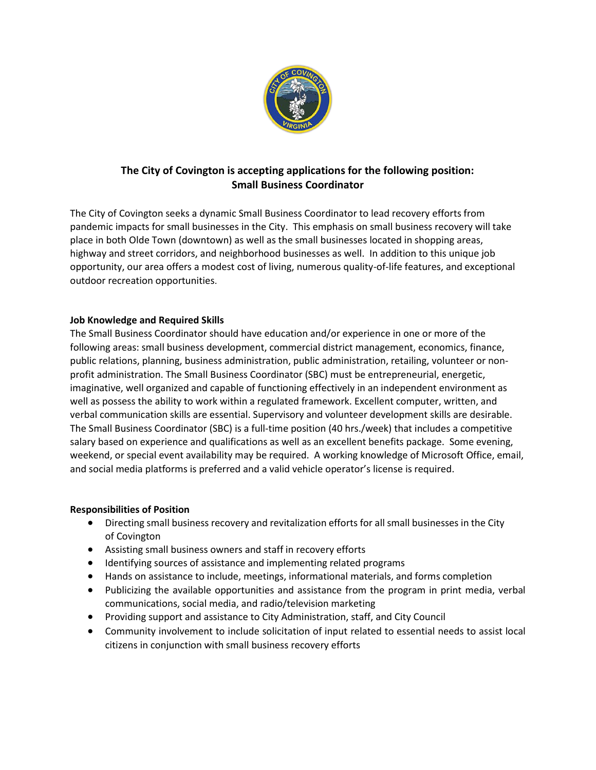

## **The City of Covington is accepting applications for the following position: Small Business Coordinator**

The City of Covington seeks a dynamic Small Business Coordinator to lead recovery efforts from pandemic impacts for small businesses in the City. This emphasis on small business recovery will take place in both Olde Town (downtown) as well as the small businesses located in shopping areas, highway and street corridors, and neighborhood businesses as well. In addition to this unique job opportunity, our area offers a modest cost of living, numerous quality-of-life features, and exceptional outdoor recreation opportunities.

## **Job Knowledge and Required Skills**

The Small Business Coordinator should have education and/or experience in one or more of the following areas: small business development, commercial district management, economics, finance, public relations, planning, business administration, public administration, retailing, volunteer or nonprofit administration. The Small Business Coordinator (SBC) must be entrepreneurial, energetic, imaginative, well organized and capable of functioning effectively in an independent environment as well as possess the ability to work within a regulated framework. Excellent computer, written, and verbal communication skills are essential. Supervisory and volunteer development skills are desirable. The Small Business Coordinator (SBC) is a full-time position (40 hrs./week) that includes a competitive salary based on experience and qualifications as well as an excellent benefits package. Some evening, weekend, or special event availability may be required. A working knowledge of Microsoft Office, email, and social media platforms is preferred and a valid vehicle operator's license is required.

## **Responsibilities of Position**

- Directing small business recovery and revitalization efforts for all small businesses in the City of Covington
- Assisting small business owners and staff in recovery efforts
- Identifying sources of assistance and implementing related programs
- Hands on assistance to include, meetings, informational materials, and forms completion
- Publicizing the available opportunities and assistance from the program in print media, verbal communications, social media, and radio/television marketing
- Providing support and assistance to City Administration, staff, and City Council
- Community involvement to include solicitation of input related to essential needs to assist local citizens in conjunction with small business recovery efforts